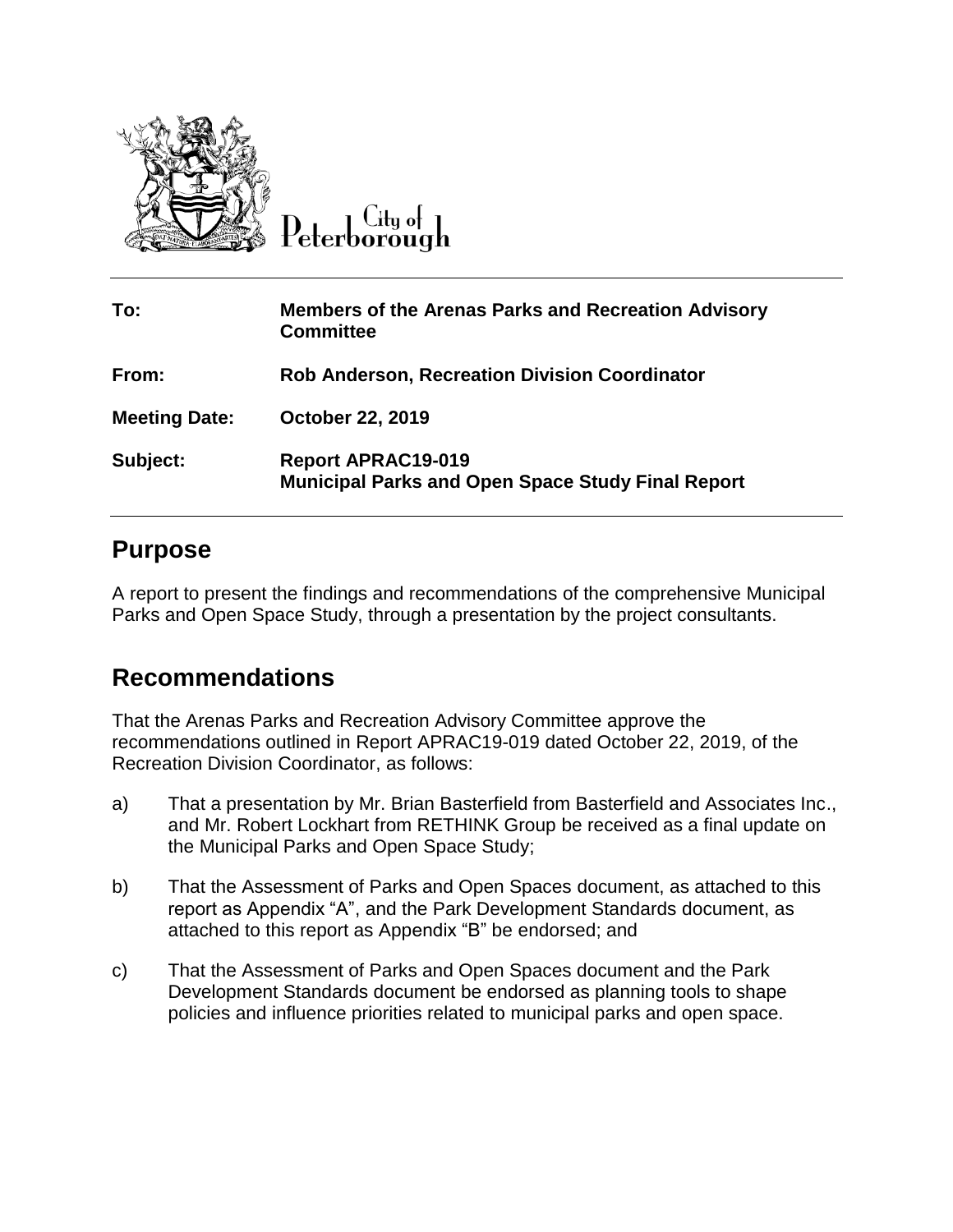

City of ) eterborough

| To:                  | <b>Members of the Arenas Parks and Recreation Advisory</b><br><b>Committee</b>        |
|----------------------|---------------------------------------------------------------------------------------|
| From:                | <b>Rob Anderson, Recreation Division Coordinator</b>                                  |
| <b>Meeting Date:</b> | <b>October 22, 2019</b>                                                               |
| Subject:             | <b>Report APRAC19-019</b><br><b>Municipal Parks and Open Space Study Final Report</b> |

#### **Purpose**

A report to present the findings and recommendations of the comprehensive Municipal Parks and Open Space Study, through a presentation by the project consultants.

# **Recommendations**

That the Arenas Parks and Recreation Advisory Committee approve the recommendations outlined in Report APRAC19-019 dated October 22, 2019, of the Recreation Division Coordinator, as follows:

- a) That a presentation by Mr. Brian Basterfield from Basterfield and Associates Inc., and Mr. Robert Lockhart from RETHINK Group be received as a final update on the Municipal Parks and Open Space Study;
- b) That the Assessment of Parks and Open Spaces document, as attached to this report as Appendix "A", and the Park Development Standards document, as attached to this report as Appendix "B" be endorsed; and
- c) That the Assessment of Parks and Open Spaces document and the Park Development Standards document be endorsed as planning tools to shape policies and influence priorities related to municipal parks and open space.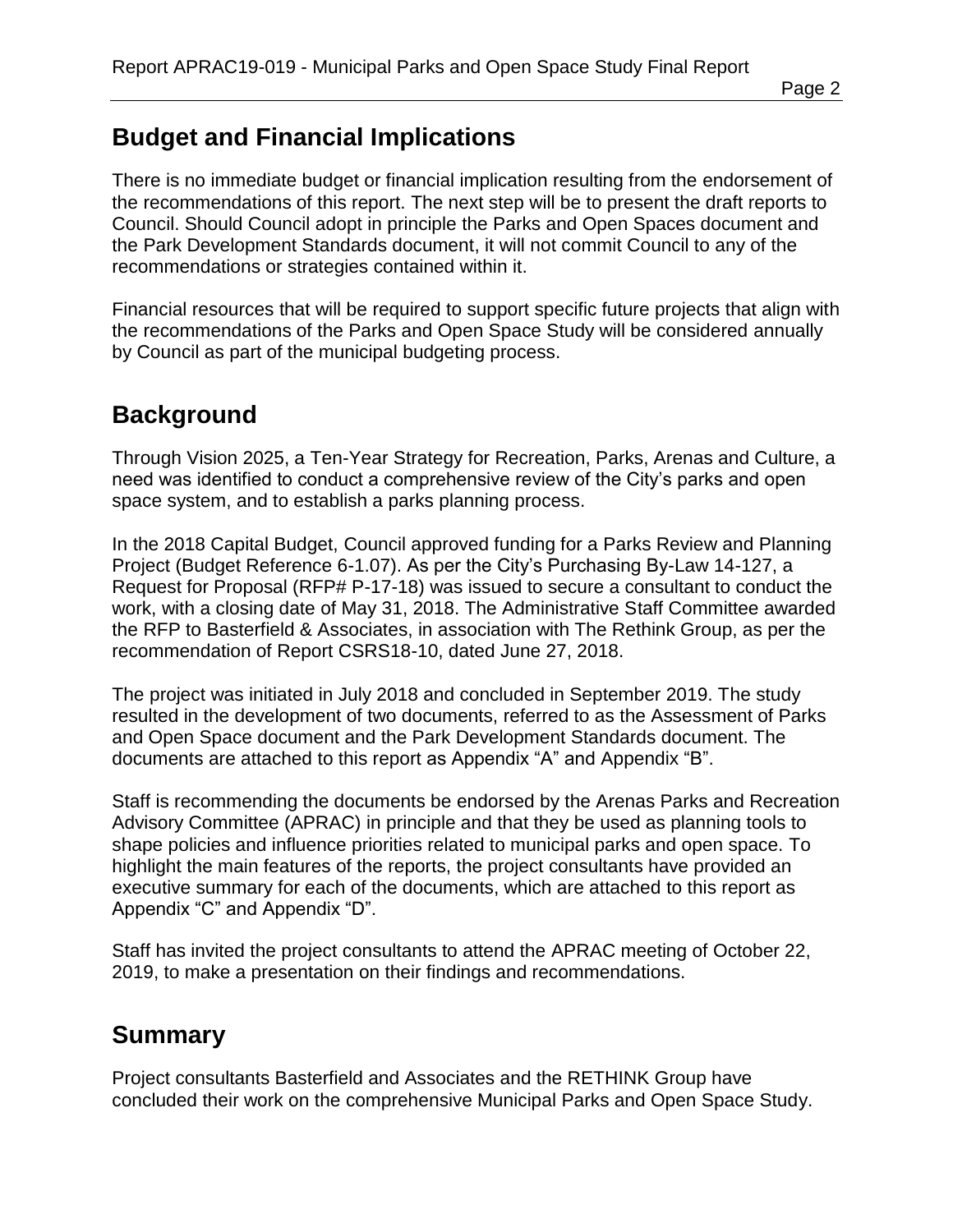# **Budget and Financial Implications**

There is no immediate budget or financial implication resulting from the endorsement of the recommendations of this report. The next step will be to present the draft reports to Council. Should Council adopt in principle the Parks and Open Spaces document and the Park Development Standards document, it will not commit Council to any of the recommendations or strategies contained within it.

Financial resources that will be required to support specific future projects that align with the recommendations of the Parks and Open Space Study will be considered annually by Council as part of the municipal budgeting process.

# **Background**

Through Vision 2025, a Ten-Year Strategy for Recreation, Parks, Arenas and Culture, a need was identified to conduct a comprehensive review of the City's parks and open space system, and to establish a parks planning process.

In the 2018 Capital Budget, Council approved funding for a Parks Review and Planning Project (Budget Reference 6-1.07). As per the City's Purchasing By-Law 14-127, a Request for Proposal (RFP# P-17-18) was issued to secure a consultant to conduct the work, with a closing date of May 31, 2018. The Administrative Staff Committee awarded the RFP to Basterfield & Associates, in association with The Rethink Group, as per the recommendation of Report CSRS18-10, dated June 27, 2018.

The project was initiated in July 2018 and concluded in September 2019. The study resulted in the development of two documents, referred to as the Assessment of Parks and Open Space document and the Park Development Standards document. The documents are attached to this report as Appendix "A" and Appendix "B".

Staff is recommending the documents be endorsed by the Arenas Parks and Recreation Advisory Committee (APRAC) in principle and that they be used as planning tools to shape policies and influence priorities related to municipal parks and open space. To highlight the main features of the reports, the project consultants have provided an executive summary for each of the documents, which are attached to this report as Appendix "C" and Appendix "D".

Staff has invited the project consultants to attend the APRAC meeting of October 22, 2019, to make a presentation on their findings and recommendations.

#### **Summary**

Project consultants Basterfield and Associates and the RETHINK Group have concluded their work on the comprehensive Municipal Parks and Open Space Study.